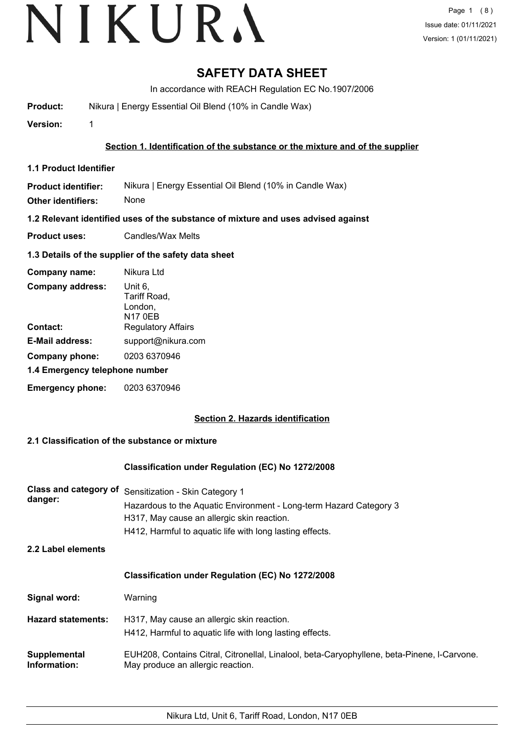# VIKURA

## **SAFETY DATA SHEET**

In accordance with REACH Regulation EC No.1907/2006

**Product:** Nikura | Energy Essential Oil Blend (10% in Candle Wax)

**Version:** 1

**Section 1. Identification of the substance or the mixture and of the supplier**

**1.1 Product Identifier**

**Product identifier:** Nikura | Energy Essential Oil Blend (10% in Candle Wax)

**Other identifiers:** None

**1.2 Relevant identified uses of the substance of mixture and uses advised against**

**Product uses:** Candles/Wax Melts

#### **1.3 Details of the supplier of the safety data sheet**

| Company name:                  | Nikura Ltd                                           |  |
|--------------------------------|------------------------------------------------------|--|
| <b>Company address:</b>        | Unit 6,<br>Tariff Road,<br>London,<br><b>N17 0EB</b> |  |
| Contact:                       | <b>Regulatory Affairs</b>                            |  |
| <b>E-Mail address:</b>         | support@nikura.com                                   |  |
| Company phone:                 | 0203 6370946                                         |  |
| 1.4 Emergency telephone number |                                                      |  |
| <b>Emergency phone:</b>        | 0203 6370946                                         |  |

### **Section 2. Hazards identification**

#### **2.1 Classification of the substance or mixture**

#### **Classification under Regulation (EC) No 1272/2008**

| danger: | Class and category of Sensitization - Skin Category 1              |
|---------|--------------------------------------------------------------------|
|         | Hazardous to the Aquatic Environment - Long-term Hazard Category 3 |
|         | H317, May cause an allergic skin reaction.                         |
|         | H412, Harmful to aquatic life with long lasting effects.           |
|         |                                                                    |

**2.2 Label elements**

#### **Classification under Regulation (EC) No 1272/2008**

**Signal word:** Warning

**Hazard statements:** H317, May cause an allergic skin reaction. H412, Harmful to aquatic life with long lasting effects.

EUH208, Contains Citral, Citronellal, Linalool, beta-Caryophyllene, beta-Pinene, l-Carvone. May produce an allergic reaction. **Supplemental Information:**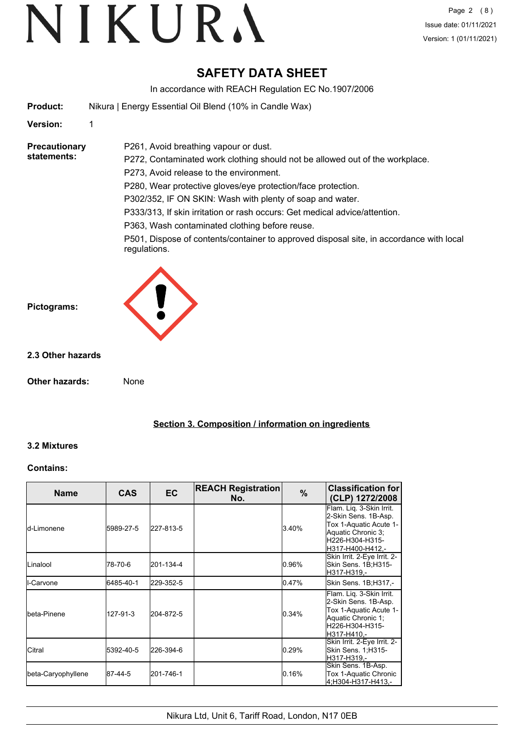## **SAFETY DATA SHEET**

In accordance with REACH Regulation EC No.1907/2006

|  | <b>Product:</b> | Nikura   Energy Essential Oil Blend (10% in Candle Wax) |  |
|--|-----------------|---------------------------------------------------------|--|
|--|-----------------|---------------------------------------------------------|--|

P261, Avoid breathing vapour or dust.

#### **Version:** 1

**Precautionary statements:**

P272, Contaminated work clothing should not be allowed out of the workplace. P273, Avoid release to the environment.

P280, Wear protective gloves/eye protection/face protection.

P302/352, IF ON SKIN: Wash with plenty of soap and water.

P333/313, If skin irritation or rash occurs: Get medical advice/attention.

P363, Wash contaminated clothing before reuse.

P501, Dispose of contents/container to approved disposal site, in accordance with local regulations.



#### **2.3 Other hazards**

**Other hazards:** None

**Section 3. Composition / information on ingredients**

### **3.2 Mixtures**

#### **Contains:**

| <b>Name</b>         | <b>CAS</b> | <b>EC</b> | <b>REACH Registration</b><br>No. | $\frac{9}{6}$ | <b>Classification for</b><br>(CLP) 1272/2008                                                                                            |
|---------------------|------------|-----------|----------------------------------|---------------|-----------------------------------------------------------------------------------------------------------------------------------------|
| <b>l</b> d-Limonene | 5989-27-5  | 227-813-5 |                                  | 3.40%         | Flam. Liq. 3-Skin Irrit.<br>2-Skin Sens. 1B-Asp.<br>Tox 1-Aquatic Acute 1-<br>Aquatic Chronic 3:<br>H226-H304-H315-<br>H317-H400-H412,- |
| <b>I</b> Linalool   | 78-70-6    | 201-134-4 |                                  | 0.96%         | Skin Irrit. 2-Eye Irrit. 2-<br>Skin Sens. 1B;H315-<br>H317-H319,-                                                                       |
| <b>I</b> I-Carvone  | 6485-40-1  | 229-352-5 |                                  | 0.47%         | Skin Sens. 1B;H317,-                                                                                                                    |
| Ibeta-Pinene        | 127-91-3   | 204-872-5 |                                  | 0.34%         | Flam. Liq. 3-Skin Irrit.<br>2-Skin Sens. 1B-Asp.<br>Tox 1-Aquatic Acute 1-<br>Aquatic Chronic 1;<br>H226-H304-H315-<br>H317-H410.-      |
| <b>I</b> Citral     | 5392-40-5  | 226-394-6 |                                  | 0.29%         | Skin Irrit. 2-Eye Irrit. 2-<br>Skin Sens. 1; H315-<br>H317-H319,-                                                                       |
| beta-Caryophyllene  | 87-44-5    | 201-746-1 |                                  | 0.16%         | Skin Sens. 1B-Asp.<br>Tox 1-Aquatic Chronic<br>4;H304-H317-H413,-                                                                       |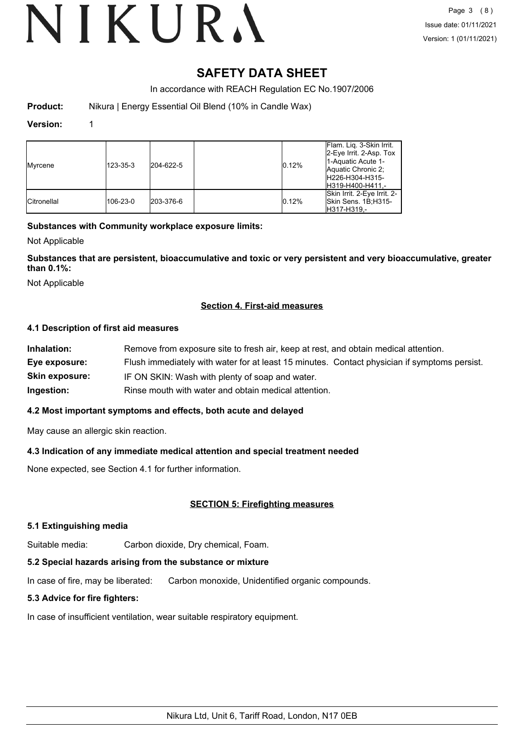## **SAFETY DATA SHEET**

In accordance with REACH Regulation EC No.1907/2006

**Product:** Nikura | Energy Essential Oil Blend (10% in Candle Wax)

#### **Version:** 1

| Myrcene            | 123-35-3 | 204-622-5 | 0.12% | Flam. Lig. 3-Skin Irrit.<br>2-Eye Irrit. 2-Asp. Tox<br>1-Aquatic Acute 1-<br>Aquatic Chronic 2:<br>H226-H304-H315-<br>H319-H400-H411,- |
|--------------------|----------|-----------|-------|----------------------------------------------------------------------------------------------------------------------------------------|
| <b>Citronellal</b> | 106-23-0 | 203-376-6 | 0.12% | Skin Irrit. 2-Eye Irrit. 2-<br>Skin Sens. 1B:H315-<br>H317-H319.-                                                                      |

#### **Substances with Community workplace exposure limits:**

Not Applicable

**Substances that are persistent, bioaccumulative and toxic or very persistent and very bioaccumulative, greater than 0.1%:**

Not Applicable

#### **Section 4. First-aid measures**

#### **4.1 Description of first aid measures**

| Inhalation:           | Remove from exposure site to fresh air, keep at rest, and obtain medical attention.          |
|-----------------------|----------------------------------------------------------------------------------------------|
| Eye exposure:         | Flush immediately with water for at least 15 minutes. Contact physician if symptoms persist. |
| <b>Skin exposure:</b> | IF ON SKIN: Wash with plenty of soap and water.                                              |
| Ingestion:            | Rinse mouth with water and obtain medical attention.                                         |

#### **4.2 Most important symptoms and effects, both acute and delayed**

May cause an allergic skin reaction.

### **4.3 Indication of any immediate medical attention and special treatment needed**

None expected, see Section 4.1 for further information.

### **SECTION 5: Firefighting measures**

#### **5.1 Extinguishing media**

Suitable media: Carbon dioxide, Dry chemical, Foam.

## **5.2 Special hazards arising from the substance or mixture**

In case of fire, may be liberated: Carbon monoxide, Unidentified organic compounds.

## **5.3 Advice for fire fighters:**

In case of insufficient ventilation, wear suitable respiratory equipment.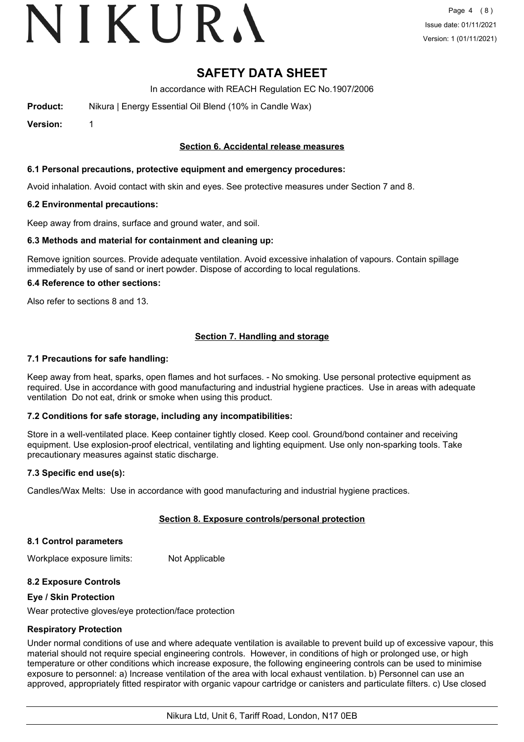# VIKURA

## **SAFETY DATA SHEET**

In accordance with REACH Regulation EC No.1907/2006

**Product:** Nikura | Energy Essential Oil Blend (10% in Candle Wax)

**Version:** 1

#### **Section 6. Accidental release measures**

#### **6.1 Personal precautions, protective equipment and emergency procedures:**

Avoid inhalation. Avoid contact with skin and eyes. See protective measures under Section 7 and 8.

#### **6.2 Environmental precautions:**

Keep away from drains, surface and ground water, and soil.

#### **6.3 Methods and material for containment and cleaning up:**

Remove ignition sources. Provide adequate ventilation. Avoid excessive inhalation of vapours. Contain spillage immediately by use of sand or inert powder. Dispose of according to local regulations.

#### **6.4 Reference to other sections:**

Also refer to sections 8 and 13.

#### **Section 7. Handling and storage**

#### **7.1 Precautions for safe handling:**

Keep away from heat, sparks, open flames and hot surfaces. - No smoking. Use personal protective equipment as required. Use in accordance with good manufacturing and industrial hygiene practices. Use in areas with adequate ventilation Do not eat, drink or smoke when using this product.

#### **7.2 Conditions for safe storage, including any incompatibilities:**

Store in a well-ventilated place. Keep container tightly closed. Keep cool. Ground/bond container and receiving equipment. Use explosion-proof electrical, ventilating and lighting equipment. Use only non-sparking tools. Take precautionary measures against static discharge.

#### **7.3 Specific end use(s):**

Candles/Wax Melts: Use in accordance with good manufacturing and industrial hygiene practices.

#### **Section 8. Exposure controls/personal protection**

#### **8.1 Control parameters**

Workplace exposure limits: Not Applicable

#### **8.2 Exposure Controls**

#### **Eye / Skin Protection**

Wear protective gloves/eye protection/face protection

#### **Respiratory Protection**

Under normal conditions of use and where adequate ventilation is available to prevent build up of excessive vapour, this material should not require special engineering controls. However, in conditions of high or prolonged use, or high temperature or other conditions which increase exposure, the following engineering controls can be used to minimise exposure to personnel: a) Increase ventilation of the area with local exhaust ventilation. b) Personnel can use an approved, appropriately fitted respirator with organic vapour cartridge or canisters and particulate filters. c) Use closed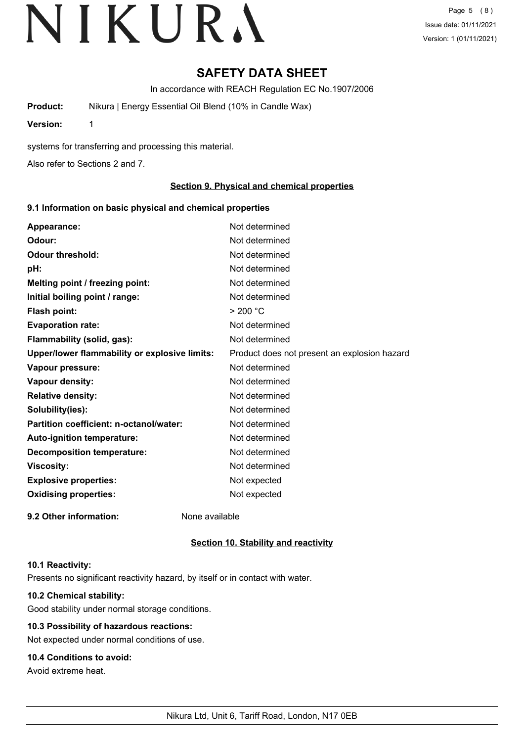# **SAFETY DATA SHEET**

In accordance with REACH Regulation EC No.1907/2006

**Product:** Nikura | Energy Essential Oil Blend (10% in Candle Wax)

**Version:** 1

systems for transferring and processing this material.

Also refer to Sections 2 and 7.

#### **Section 9. Physical and chemical properties**

#### **9.1 Information on basic physical and chemical properties**

| Appearance:                                   | Not determined                               |
|-----------------------------------------------|----------------------------------------------|
| Odour:                                        | Not determined                               |
| <b>Odour threshold:</b>                       | Not determined                               |
| pH:                                           | Not determined                               |
| Melting point / freezing point:               | Not determined                               |
| Initial boiling point / range:                | Not determined                               |
| <b>Flash point:</b>                           | > 200 °C                                     |
| <b>Evaporation rate:</b>                      | Not determined                               |
| Flammability (solid, gas):                    | Not determined                               |
| Upper/lower flammability or explosive limits: | Product does not present an explosion hazard |
| Vapour pressure:                              | Not determined                               |
| Vapour density:                               | Not determined                               |
| <b>Relative density:</b>                      | Not determined                               |
| Solubility(ies):                              | Not determined                               |
| Partition coefficient: n-octanol/water:       | Not determined                               |
| Auto-ignition temperature:                    | Not determined                               |
| <b>Decomposition temperature:</b>             | Not determined                               |
| <b>Viscosity:</b>                             | Not determined                               |
| <b>Explosive properties:</b>                  | Not expected                                 |
| <b>Oxidising properties:</b>                  | Not expected                                 |
| 9.2 Other information:                        | None available                               |

#### **Section 10. Stability and reactivity**

#### **10.1 Reactivity:**

Presents no significant reactivity hazard, by itself or in contact with water.

### **10.2 Chemical stability:**

Good stability under normal storage conditions.

## **10.3 Possibility of hazardous reactions:**

Not expected under normal conditions of use.

## **10.4 Conditions to avoid:**

Avoid extreme heat.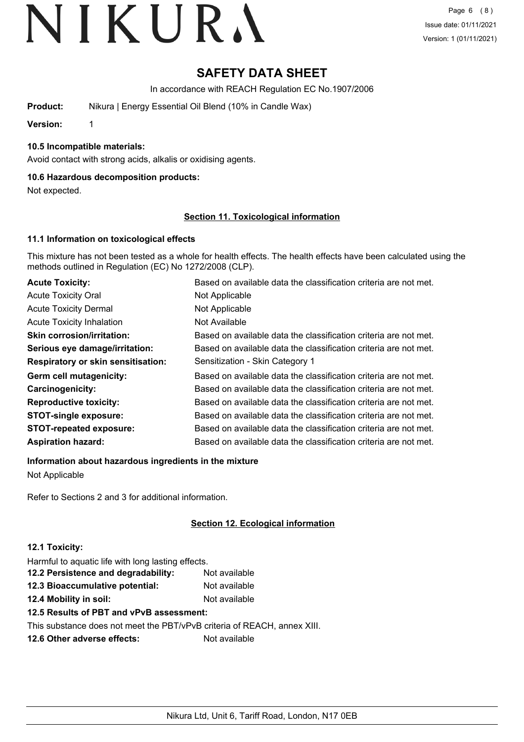# **SAFETY DATA SHEET**

In accordance with REACH Regulation EC No.1907/2006

**Product:** Nikura | Energy Essential Oil Blend (10% in Candle Wax)

**Version:** 1

#### **10.5 Incompatible materials:**

Avoid contact with strong acids, alkalis or oxidising agents.

#### **10.6 Hazardous decomposition products:**

Not expected.

#### **Section 11. Toxicological information**

#### **11.1 Information on toxicological effects**

This mixture has not been tested as a whole for health effects. The health effects have been calculated using the methods outlined in Regulation (EC) No 1272/2008 (CLP).

| <b>Acute Toxicity:</b>                    | Based on available data the classification criteria are not met. |
|-------------------------------------------|------------------------------------------------------------------|
| <b>Acute Toxicity Oral</b>                | Not Applicable                                                   |
| <b>Acute Toxicity Dermal</b>              | Not Applicable                                                   |
| <b>Acute Toxicity Inhalation</b>          | Not Available                                                    |
| <b>Skin corrosion/irritation:</b>         | Based on available data the classification criteria are not met. |
| Serious eye damage/irritation:            | Based on available data the classification criteria are not met. |
| <b>Respiratory or skin sensitisation:</b> | Sensitization - Skin Category 1                                  |
| Germ cell mutagenicity:                   | Based on available data the classification criteria are not met. |
| Carcinogenicity:                          | Based on available data the classification criteria are not met. |
| <b>Reproductive toxicity:</b>             | Based on available data the classification criteria are not met. |
| <b>STOT-single exposure:</b>              | Based on available data the classification criteria are not met. |
| <b>STOT-repeated exposure:</b>            | Based on available data the classification criteria are not met. |
| <b>Aspiration hazard:</b>                 | Based on available data the classification criteria are not met. |

**Information about hazardous ingredients in the mixture**

Not Applicable

Refer to Sections 2 and 3 for additional information.

### **Section 12. Ecological information**

#### **12.1 Toxicity:**

Harmful to aquatic life with long lasting effects.

| 12.2 Persistence and degradability: | Not available |
|-------------------------------------|---------------|
| 12.3 Bioaccumulative potential:     | Not available |
|                                     |               |

**12.4 Mobility in soil:** Not available

## **12.5 Results of PBT and vPvB assessment:**

This substance does not meet the PBT/vPvB criteria of REACH, annex XIII.

**12.6 Other adverse effects:** Not available

Nikura Ltd, Unit 6, Tariff Road, London, N17 0EB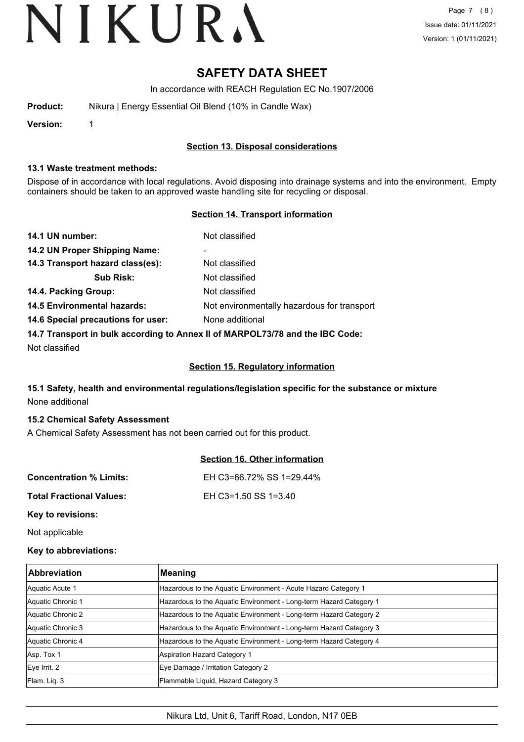## **SAFETY DATA SHEET**

In accordance with REACH Regulation EC No.1907/2006

| Product: | Nikura   Energy Essential Oil Blend (10% in Candle Wax) |
|----------|---------------------------------------------------------|
|          |                                                         |

**Version:** 1

#### **Section 13. Disposal considerations**

#### **13.1 Waste treatment methods:**

Dispose of in accordance with local regulations. Avoid disposing into drainage systems and into the environment. Empty containers should be taken to an approved waste handling site for recycling or disposal.

#### **Section 14. Transport information**

| 14.1 UN number:                                                               | Not classified                              |  |
|-------------------------------------------------------------------------------|---------------------------------------------|--|
| 14.2 UN Proper Shipping Name:                                                 | ۰                                           |  |
| 14.3 Transport hazard class(es):                                              | Not classified                              |  |
| <b>Sub Risk:</b>                                                              | Not classified                              |  |
| 14.4. Packing Group:                                                          | Not classified                              |  |
| <b>14.5 Environmental hazards:</b>                                            | Not environmentally hazardous for transport |  |
| 14.6 Special precautions for user:                                            | None additional                             |  |
| 14.7 Transport in bulk according to Annex II of MARPOL73/78 and the IBC Code: |                                             |  |

Not classified

#### **Section 15. Regulatory information**

### **15.1 Safety, health and environmental regulations/legislation specific for the substance or mixture** None additional

#### **15.2 Chemical Safety Assessment**

A Chemical Safety Assessment has not been carried out for this product.

|                                 | <b>Section 16. Other information</b> |
|---------------------------------|--------------------------------------|
| <b>Concentration % Limits:</b>  | EH C3=66.72% SS 1=29.44%             |
| <b>Total Fractional Values:</b> | EH C3=1.50 SS 1=3.40                 |
| Key to revisions:               |                                      |

Not applicable

#### **Key to abbreviations:**

| <b>Abbreviation</b> | <b>Meaning</b>                                                     |
|---------------------|--------------------------------------------------------------------|
| Aquatic Acute 1     | Hazardous to the Aquatic Environment - Acute Hazard Category 1     |
| Aquatic Chronic 1   | Hazardous to the Aquatic Environment - Long-term Hazard Category 1 |
| Aquatic Chronic 2   | Hazardous to the Aquatic Environment - Long-term Hazard Category 2 |
| Aquatic Chronic 3   | Hazardous to the Aquatic Environment - Long-term Hazard Category 3 |
| Aquatic Chronic 4   | Hazardous to the Aquatic Environment - Long-term Hazard Category 4 |
| Asp. Tox 1          | Aspiration Hazard Category 1                                       |
| Eye Irrit. 2        | Eye Damage / Irritation Category 2                                 |
| Flam. Lig. 3        | Flammable Liquid, Hazard Category 3                                |